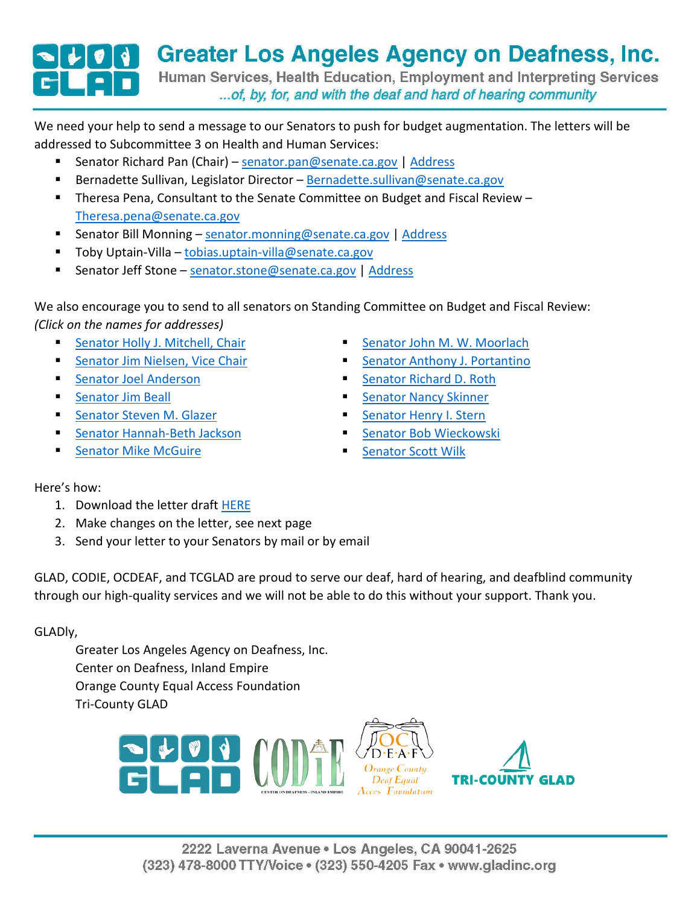

We need your help to send a message to our Senators to push for budget augmentation. The letters will be addressed to Subcommittee 3 on Health and Human Services:

- Senator Richard Pan (Chair) – [senator.pan@senate.ca.gov](mailto:senator.pan@senate.ca.gov) | [Address](http://sd06.senate.ca.gov/contact/email)
- Bernadette Sullivan, Legislator Director – [Bernadette.sullivan@senate.ca.gov](mailto:Bernadette.sullivan@senate.ca.gov)
- Theresa Pena, Consultant to the Senate Committee on Budget and Fiscal Review [Theresa.pena@senate.ca.gov](mailto:Theresa.pena@senate.ca.gov)
- Senator Bill Monning – [senator.monning@senate.ca.gov](mailto:senator.monning@senate.ca.gov) | [Address](http://sd17.senate.ca.gov/contact-us)
- Toby Uptain-Villa - [tobias.uptain-villa@senate.ca.gov](mailto:tobias.uptain-villa@senate.ca.gov)
- Senator Jeff Stone – [senator.stone@senate.ca.gov](mailto:senator.stone@senate.ca.gov) | [Address](http://district28.cssrc.us/content/my-offices)

We also encourage you to send to all senators on Standing Committee on Budget and Fiscal Review: *(Click on the names for addresses)*

- **[Senator Holly J. Mitchell, Chair](http://sd30.senate.ca.gov/contact-holly)**
- **[Senator Jim Nielsen, Vice Chair](http://nielsen.cssrc.us/content/my-offices)**
- **[Senator Joel Anderson](http://district38.cssrc.us/content/my-offices)**
- **[Senator Jim Beall](http://sd15.senate.ca.gov/contact-us)**
- **[Senator Steven M. Glazer](http://sd07.senate.ca.gov/contact)**
- **[Senator Hannah-Beth Jackson](http://sd19.senate.ca.gov/contact-me)**
- [Senator Mike McGuire](http://sd02.senate.ca.gov/contact)
- [Senator John M. W. Moorlach](http://moorlach.cssrc.us/content/my-offices)
- **[Senator Anthony J. Portantino](http://sd25.senate.ca.gov/contact)**
- [Senator Richard D. Roth](http://sd31.senate.ca.gov/send-e-mail)
- [Senator Nancy Skinner](http://sd09.senate.ca.gov/contact)
- [Senator Henry I. Stern](http://sd27.senate.ca.gov/contact)
- [Senator Bob Wieckowski](http://sd10.senate.ca.gov/contact)
- [Senator Scott Wilk](http://district21.cssrc.us/my-offices)

## Here's how:

- 1. Download the letter draft [HERE](http://gladinc.org/wp-content/uploads/2018/04/TEMPLATE-Letter-to-Senate.docx)
- 2. Make changes on the letter, see next page
- 3. Send your letter to your Senators by mail or by email

GLAD, CODIE, OCDEAF, and TCGLAD are proud to serve our deaf, hard of hearing, and deafblind community through our high-quality services and we will not be able to do this without your support. Thank you.

## GLADly,

Greater Los Angeles Agency on Deafness, Inc. Center on Deafness, Inland Empire Orange County Equal Access Foundation Tri-County GLAD